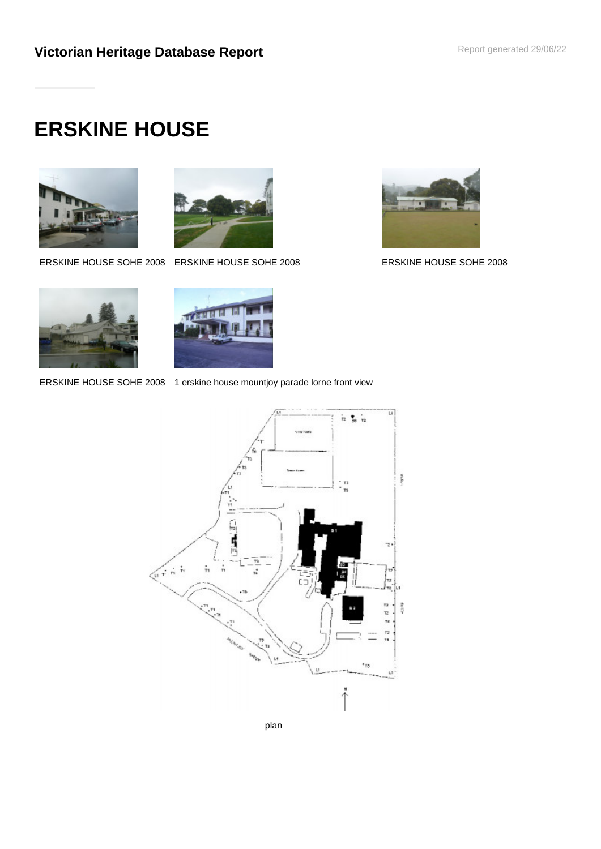# **ERSKINE HOUSE**





ERSKINE HOUSE SOHE 2008 ERSKINE HOUSE SOHE 2008 ERSKINE HOUSE SOHE 2008







ERSKINE HOUSE SOHE 2008 1 erskine house mountjoy parade lorne front view



plan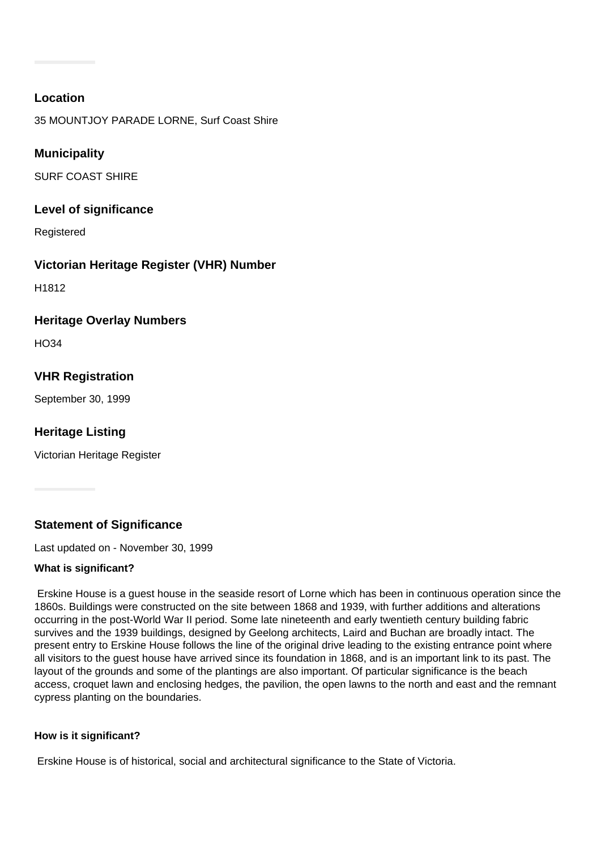# **Location**

35 MOUNTJOY PARADE LORNE, Surf Coast Shire

# **Municipality**

SURF COAST SHIRE

## **Level of significance**

Registered

# **Victorian Heritage Register (VHR) Number**

H1812

## **Heritage Overlay Numbers**

 $H<sub>O</sub>34$ 

# **VHR Registration**

September 30, 1999

# **Heritage Listing**

Victorian Heritage Register

**Statement of Significance**

Last updated on - November 30, 1999

## **What is significant?**

 Erskine House is a guest house in the seaside resort of Lorne which has been in continuous operation since the 1860s. Buildings were constructed on the site between 1868 and 1939, with further additions and alterations occurring in the post-World War II period. Some late nineteenth and early twentieth century building fabric survives and the 1939 buildings, designed by Geelong architects, Laird and Buchan are broadly intact. The present entry to Erskine House follows the line of the original drive leading to the existing entrance point where all visitors to the guest house have arrived since its foundation in 1868, and is an important link to its past. The layout of the grounds and some of the plantings are also important. Of particular significance is the beach access, croquet lawn and enclosing hedges, the pavilion, the open lawns to the north and east and the remnant cypress planting on the boundaries.

## **How is it significant?**

Erskine House is of historical, social and architectural significance to the State of Victoria.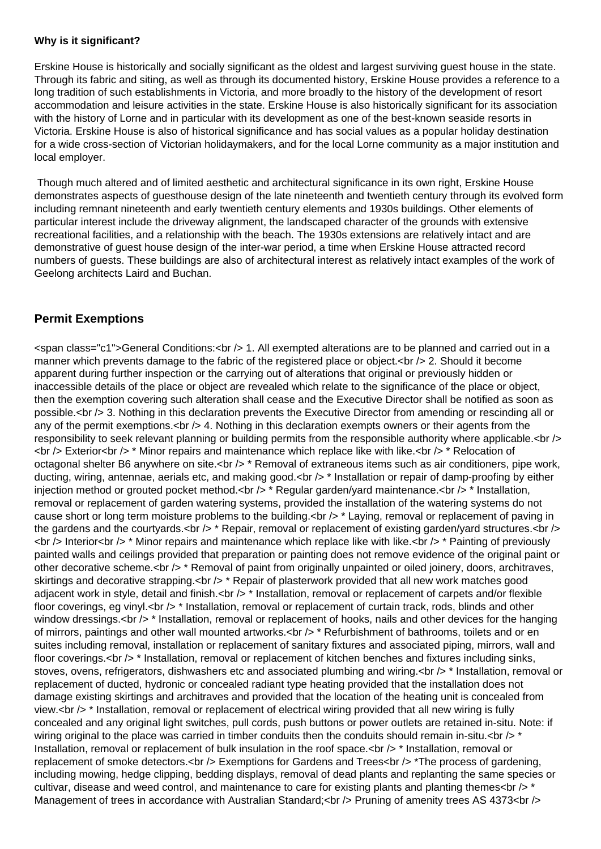#### **Why is it significant?**

Erskine House is historically and socially significant as the oldest and largest surviving guest house in the state. Through its fabric and siting, as well as through its documented history, Erskine House provides a reference to a long tradition of such establishments in Victoria, and more broadly to the history of the development of resort accommodation and leisure activities in the state. Erskine House is also historically significant for its association with the history of Lorne and in particular with its development as one of the best-known seaside resorts in Victoria. Erskine House is also of historical significance and has social values as a popular holiday destination for a wide cross-section of Victorian holidaymakers, and for the local Lorne community as a major institution and local employer.

 Though much altered and of limited aesthetic and architectural significance in its own right, Erskine House demonstrates aspects of guesthouse design of the late nineteenth and twentieth century through its evolved form including remnant nineteenth and early twentieth century elements and 1930s buildings. Other elements of particular interest include the driveway alignment, the landscaped character of the grounds with extensive recreational facilities, and a relationship with the beach. The 1930s extensions are relatively intact and are demonstrative of guest house design of the inter-war period, a time when Erskine House attracted record numbers of guests. These buildings are also of architectural interest as relatively intact examples of the work of Geelong architects Laird and Buchan.

# **Permit Exemptions**

<span class="c1">General Conditions:<br /> 1. All exempted alterations are to be planned and carried out in a manner which prevents damage to the fabric of the registered place or object.<br />>>>> 2. Should it become apparent during further inspection or the carrying out of alterations that original or previously hidden or inaccessible details of the place or object are revealed which relate to the significance of the place or object, then the exemption covering such alteration shall cease and the Executive Director shall be notified as soon as possible.<br /> 3. Nothing in this declaration prevents the Executive Director from amending or rescinding all or any of the permit exemptions. $<$ br  $/$ > 4. Nothing in this declaration exempts owners or their agents from the responsibility to seek relevant planning or building permits from the responsible authority where applicable.<br /> <br /> Exterior<br /> \* Minor repairs and maintenance which replace like with like.<br /> \* Relocation of octagonal shelter B6 anywhere on site.<br />> \* Removal of extraneous items such as air conditioners, pipe work, ducting, wiring, antennae, aerials etc, and making good.<br />>\* Installation or repair of damp-proofing by either injection method or grouted pocket method.<br /> $\geq$  \* Regular garden/yard maintenance.<br />> \* Installation, removal or replacement of garden watering systems, provided the installation of the watering systems do not cause short or long term moisture problems to the building.<br />
taying, removal or replacement of paving in the gardens and the courtyards. $\langle$ br  $/$ > \* Repair, removal or replacement of existing garden/yard structures. $\langle$ br  $/$ >  $\langle$ br  $/$ > Interior $\langle$ br  $/$ > \* Minor repairs and maintenance which replace like with like. $\langle$ br  $/$ > \* Painting of previously painted walls and ceilings provided that preparation or painting does not remove evidence of the original paint or other decorative scheme.<br /> \* Removal of paint from originally unpainted or oiled joinery, doors, architraves, skirtings and decorative strapping.<br />>\* Repair of plasterwork provided that all new work matches good adjacent work in style, detail and finish.<br /> \* Installation, removal or replacement of carpets and/or flexible floor coverings, eg vinyl.<br /> \* Installation, removal or replacement of curtain track, rods, blinds and other window dressings.<br />> \* Installation, removal or replacement of hooks, nails and other devices for the hanging of mirrors, paintings and other wall mounted artworks.<br /> \* Refurbishment of bathrooms, toilets and or en suites including removal, installation or replacement of sanitary fixtures and associated piping, mirrors, wall and floor coverings.<br /> \* Installation, removal or replacement of kitchen benches and fixtures including sinks, stoves, ovens, refrigerators, dishwashers etc and associated plumbing and wiring.<br /> \* Installation, removal or replacement of ducted, hydronic or concealed radiant type heating provided that the installation does not damage existing skirtings and architraves and provided that the location of the heating unit is concealed from view.<br /> \* Installation, removal or replacement of electrical wiring provided that all new wiring is fully concealed and any original light switches, pull cords, push buttons or power outlets are retained in-situ. Note: if wiring original to the place was carried in timber conduits then the conduits should remain in-situ. $\langle$ br  $/$   $>$  \* Installation, removal or replacement of bulk insulation in the roof space.<br />>
\* Installation, removal or replacement of smoke detectors.<br /> Exemptions for Gardens and Trees<br />> \*The process of gardening, including mowing, hedge clipping, bedding displays, removal of dead plants and replanting the same species or cultivar, disease and weed control, and maintenance to care for existing plants and planting themes<br />>\* Management of trees in accordance with Australian Standard; < br /> Pruning of amenity trees AS 4373<br />
l>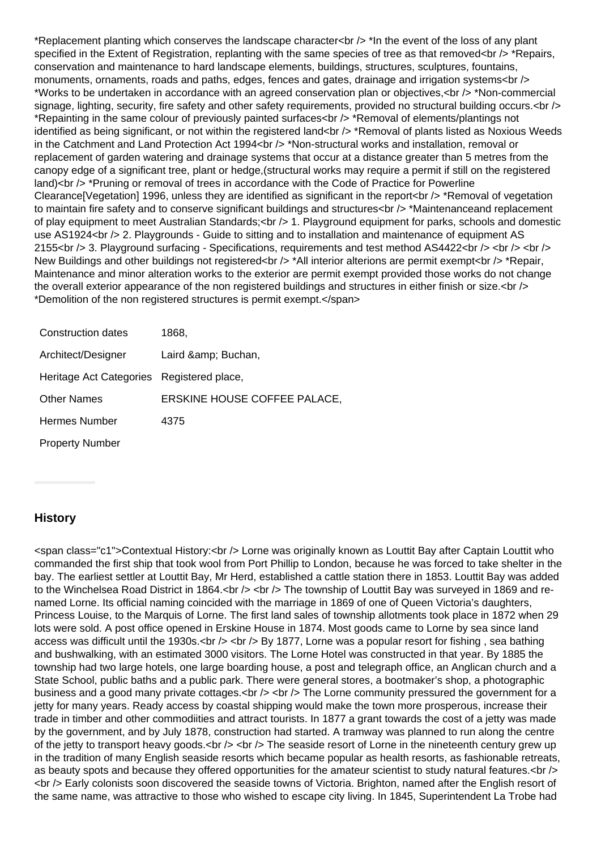\*Replacement planting which conserves the landscape character<br /> \*In the event of the loss of any plant specified in the Extent of Registration, replanting with the same species of tree as that removed<br />
the pairs, conservation and maintenance to hard landscape elements, buildings, structures, sculptures, fountains, monuments, ornaments, roads and paths, edges, fences and gates, drainage and irrigation systems<br  $\sim$ \*Works to be undertaken in accordance with an agreed conservation plan or objectives,<br /> \*Non-commercial signage, lighting, security, fire safety and other safety requirements, provided no structural building occurs.<br /> \*Repainting in the same colour of previously painted surfaces<br /> \*Removal of elements/plantings not identified as being significant, or not within the registered land<br />
\*Removal of plants listed as Noxious Weeds in the Catchment and Land Protection Act 1994<br />>  $\gamma$  \*Non-structural works and installation, removal or replacement of garden watering and drainage systems that occur at a distance greater than 5 metres from the canopy edge of a significant tree, plant or hedge,(structural works may require a permit if still on the registered land)<br />> \*Pruning or removal of trees in accordance with the Code of Practice for Powerline Clearance<sup>[</sup>Vegetation] 1996, unless they are identified as significant in the report<br />
\*Removal of vegetation to maintain fire safety and to conserve significant buildings and structures<br />
to \*Maintenanceand replacement of play equipment to meet Australian Standards;  $\langle$  = 1. Playground equipment for parks, schools and domestic use AS1924<br /> 2. Playgrounds - Guide to sitting and to installation and maintenance of equipment AS 2155<br />> 3. Playground surfacing - Specifications, requirements and test method AS4422<br />> <br />> <br />> <br /> New Buildings and other buildings not registered<br />> \*All interior alterions are permit exempt<br />> \*Repair, Maintenance and minor alteration works to the exterior are permit exempt provided those works do not change the overall exterior appearance of the non registered buildings and structures in either finish or size.<br />> \*Demolition of the non registered structures is permit exempt.</span>

| Construction dates                        | 1868.                        |
|-------------------------------------------|------------------------------|
| Architect/Designer                        | Laird & Buchan,              |
| Heritage Act Categories Registered place, |                              |
| <b>Other Names</b>                        | ERSKINE HOUSE COFFEE PALACE, |
| <b>Hermes Number</b>                      | 4375                         |
| <b>Property Number</b>                    |                              |

# **History**

<span class="c1">Contextual History:<br /> Lorne was originally known as Louttit Bay after Captain Louttit who commanded the first ship that took wool from Port Phillip to London, because he was forced to take shelter in the bay. The earliest settler at Louttit Bay, Mr Herd, established a cattle station there in 1853. Louttit Bay was added to the Winchelsea Road District in 1864.<br />> <br />> The township of Louttit Bay was surveyed in 1869 and renamed Lorne. Its official naming coincided with the marriage in 1869 of one of Queen Victoria's daughters, Princess Louise, to the Marquis of Lorne. The first land sales of township allotments took place in 1872 when 29 lots were sold. A post office opened in Erskine House in 1874. Most goods came to Lorne by sea since land access was difficult until the 1930s.<br />> <br />> by 1877, Lorne was a popular resort for fishing , sea bathing and bushwalking, with an estimated 3000 visitors. The Lorne Hotel was constructed in that year. By 1885 the township had two large hotels, one large boarding house, a post and telegraph office, an Anglican church and a State School, public baths and a public park. There were general stores, a bootmaker's shop, a photographic business and a good many private cottages.<br />> <br /> The Lorne community pressured the government for a jetty for many years. Ready access by coastal shipping would make the town more prosperous, increase their trade in timber and other commodiities and attract tourists. In 1877 a grant towards the cost of a jetty was made by the government, and by July 1878, construction had started. A tramway was planned to run along the centre of the jetty to transport heavy goods.<br  $/$ > <br  $/$ > The seaside resort of Lorne in the nineteenth century grew up in the tradition of many English seaside resorts which became popular as health resorts, as fashionable retreats, as beauty spots and because they offered opportunities for the amateur scientist to study natural features. <br />> <br /> Early colonists soon discovered the seaside towns of Victoria. Brighton, named after the English resort of the same name, was attractive to those who wished to escape city living. In 1845, Superintendent La Trobe had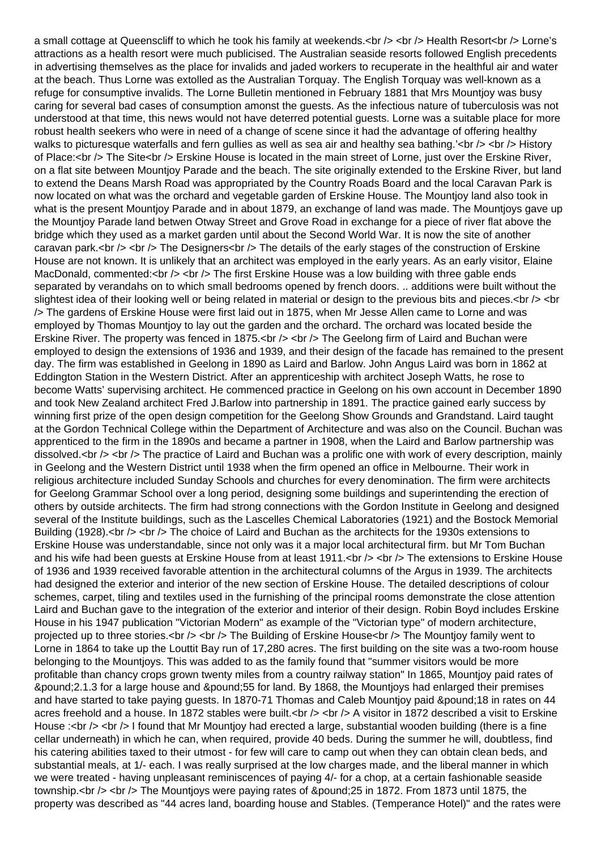a small cottage at Queenscliff to which he took his family at weekends.<br />> <br />> Health Resort<br />
Lorne's attractions as a health resort were much publicised. The Australian seaside resorts followed English precedents in advertising themselves as the place for invalids and jaded workers to recuperate in the healthful air and water at the beach. Thus Lorne was extolled as the Australian Torquay. The English Torquay was well-known as a refuge for consumptive invalids. The Lorne Bulletin mentioned in February 1881 that Mrs Mountjoy was busy caring for several bad cases of consumption amonst the guests. As the infectious nature of tuberculosis was not understood at that time, this news would not have deterred potential guests. Lorne was a suitable place for more robust health seekers who were in need of a change of scene since it had the advantage of offering healthy walks to picturesque waterfalls and fern gullies as well as sea air and healthy sea bathing.'<br />>  $\leftrightarrow$   $\leftrightarrow$  History of Place:<br />> The Site<br />> Erskine House is located in the main street of Lorne, just over the Erskine River, on a flat site between Mountjoy Parade and the beach. The site originally extended to the Erskine River, but land to extend the Deans Marsh Road was appropriated by the Country Roads Board and the local Caravan Park is now located on what was the orchard and vegetable garden of Erskine House. The Mountjoy land also took in what is the present Mountioy Parade and in about 1879, an exchange of land was made. The Mountioys gave up the Mountjoy Parade land betwen Otway Street and Grove Road in exchange for a piece of river flat above the bridge which they used as a market garden until about the Second World War. It is now the site of another caravan park.<br /> <br />The Designers<br />> The details of the early stages of the construction of Erskine House are not known. It is unlikely that an architect was employed in the early years. As an early visitor, Elaine MacDonald, commented:  $\langle$  br  $\rangle$   $\leq$  br  $/$  The first Erskine House was a low building with three gable ends separated by verandahs on to which small bedrooms opened by french doors. .. additions were built without the slightest idea of their looking well or being related in material or design to the previous bits and pieces. $\langle$ br  $/$ > $\langle$ br /> The gardens of Erskine House were first laid out in 1875, when Mr Jesse Allen came to Lorne and was employed by Thomas Mountjoy to lay out the garden and the orchard. The orchard was located beside the Erskine River. The property was fenced in 1875.<br />> <br />> The Geelong firm of Laird and Buchan were employed to design the extensions of 1936 and 1939, and their design of the facade has remained to the present day. The firm was established in Geelong in 1890 as Laird and Barlow. John Angus Laird was born in 1862 at Eddington Station in the Western District. After an apprenticeship with architect Joseph Watts, he rose to become Watts' supervising architect. He commenced practice in Geelong on his own account in December 1890 and took New Zealand architect Fred J.Barlow into partnership in 1891. The practice gained early success by winning first prize of the open design competition for the Geelong Show Grounds and Grandstand. Laird taught at the Gordon Technical College within the Department of Architecture and was also on the Council. Buchan was apprenticed to the firm in the 1890s and became a partner in 1908, when the Laird and Barlow partnership was dissolved.<br /> <br />The practice of Laird and Buchan was a prolific one with work of every description, mainly in Geelong and the Western District until 1938 when the firm opened an office in Melbourne. Their work in religious architecture included Sunday Schools and churches for every denomination. The firm were architects for Geelong Grammar School over a long period, designing some buildings and superintending the erection of others by outside architects. The firm had strong connections with the Gordon Institute in Geelong and designed several of the Institute buildings, such as the Lascelles Chemical Laboratories (1921) and the Bostock Memorial Building (1928). <br /> <br />> The choice of Laird and Buchan as the architects for the 1930s extensions to Erskine House was understandable, since not only was it a major local architectural firm. but Mr Tom Buchan and his wife had been quests at Erskine House from at least 1911.<br />> <br />> The extensions to Erskine House of 1936 and 1939 received favorable attention in the architectural columns of the Argus in 1939. The architects had designed the exterior and interior of the new section of Erskine House. The detailed descriptions of colour schemes, carpet, tiling and textiles used in the furnishing of the principal rooms demonstrate the close attention Laird and Buchan gave to the integration of the exterior and interior of their design. Robin Boyd includes Erskine House in his 1947 publication "Victorian Modern" as example of the "Victorian type" of modern architecture, projected up to three stories.<br />> <br />> <br />The Building of Erskine House<br />> The Mountjoy family went to Lorne in 1864 to take up the Louttit Bay run of 17,280 acres. The first building on the site was a two-room house belonging to the Mountjoys. This was added to as the family found that "summer visitors would be more profitable than chancy crops grown twenty miles from a country railway station" In 1865, Mountjoy paid rates of £2.1.3 for a large house and £55 for land. By 1868, the Mountjoys had enlarged their premises and have started to take paying guests. In 1870-71 Thomas and Caleb Mountjoy paid £18 in rates on 44 acres freehold and a house. In 1872 stables were built.<br />> <br /> A visitor in 1872 described a visit to Erskine House :<br /> <br />I found that Mr Mountjoy had erected a large, substantial wooden building (there is a fine cellar underneath) in which he can, when required, provide 40 beds. During the summer he will, doubtless, find his catering abilities taxed to their utmost - for few will care to camp out when they can obtain clean beds, and substantial meals, at 1/- each. I was really surprised at the low charges made, and the liberal manner in which we were treated - having unpleasant reminiscences of paying 4/- for a chop, at a certain fashionable seaside township.<br /> <br />The Mountjoys were paying rates of &pound; 25 in 1872. From 1873 until 1875, the property was described as "44 acres land, boarding house and Stables. (Temperance Hotel)" and the rates were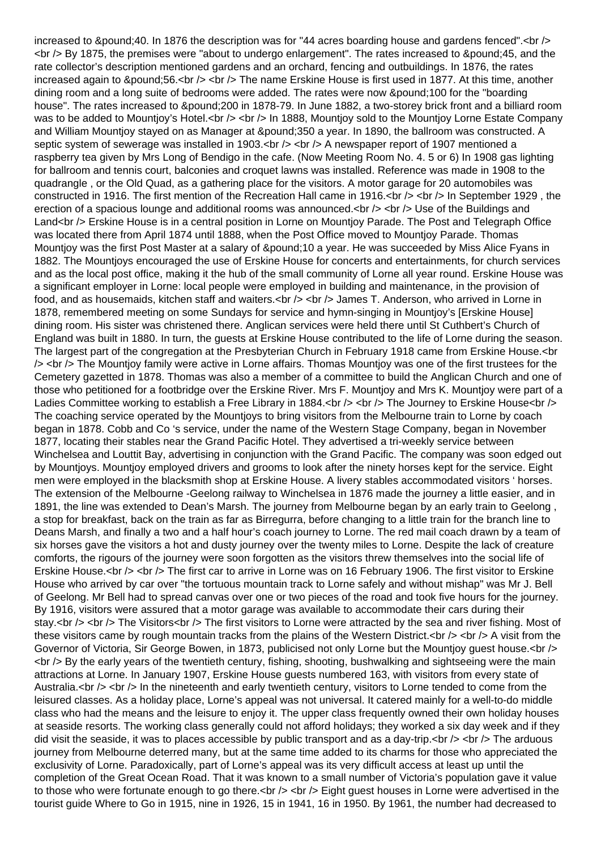increased to &pound:40. In 1876 the description was for "44 acres boarding house and gardens fenced".<br  $\sqrt{2}$ <br /> By 1875, the premises were "about to undergo enlargement". The rates increased to &pound;45, and the rate collector's description mentioned gardens and an orchard, fencing and outbuildings. In 1876, the rates increased again to £56.<br /> <br /> The name Erskine House is first used in 1877. At this time, another dining room and a long suite of bedrooms were added. The rates were now £100 for the "boarding house". The rates increased to £200 in 1878-79. In June 1882, a two-storey brick front and a billiard room was to be added to Mountjoy's Hotel.<br />> <br /> In 1888, Mountjoy sold to the Mountjoy Lorne Estate Company and William Mountjoy stayed on as Manager at £350 a year. In 1890, the ballroom was constructed. A septic system of sewerage was installed in 1903. $\lt$ br  $\lt$   $\lt$   $\lt$   $\lt$ h a newspaper report of 1907 mentioned a raspberry tea given by Mrs Long of Bendigo in the cafe. (Now Meeting Room No. 4. 5 or 6) In 1908 gas lighting for ballroom and tennis court, balconies and croquet lawns was installed. Reference was made in 1908 to the quadrangle , or the Old Quad, as a gathering place for the visitors. A motor garage for 20 automobiles was constructed in 1916. The first mention of the Recreation Hall came in 1916.<br />> <br />> <br /> In September 1929, the erection of a spacious lounge and additional rooms was announced. $\langle$ br  $\rangle$   $\langle$   $\rangle$  Use of the Buildings and Land<br /> Erskine House is in a central position in Lorne on Mountjoy Parade. The Post and Telegraph Office was located there from April 1874 until 1888, when the Post Office moved to Mountjoy Parade. Thomas Mountjoy was the first Post Master at a salary of £10 a year. He was succeeded by Miss Alice Fyans in 1882. The Mountjoys encouraged the use of Erskine House for concerts and entertainments, for church services and as the local post office, making it the hub of the small community of Lorne all year round. Erskine House was a significant employer in Lorne: local people were employed in building and maintenance, in the provision of food, and as housemaids, kitchen staff and waiters.<br />> <br />> /> James T. Anderson, who arrived in Lorne in 1878, remembered meeting on some Sundays for service and hymn-singing in Mountjoy's [Erskine House] dining room. His sister was christened there. Anglican services were held there until St Cuthbert's Church of England was built in 1880. In turn, the guests at Erskine House contributed to the life of Lorne during the season. The largest part of the congregation at the Presbyterian Church in February 1918 came from Erskine House.<br />
the largest part of the congregation at the Presbyterian Church in February 1918 came from Erskine House.<br / /> <br /> The Mountjoy family were active in Lorne affairs. Thomas Mountjoy was one of the first trustees for the Cemetery gazetted in 1878. Thomas was also a member of a committee to build the Anglican Church and one of those who petitioned for a footbridge over the Erskine River. Mrs F. Mountjoy and Mrs K. Mountjoy were part of a Ladies Committee working to establish a Free Library in 1884.<br />> <br />> The Journey to Erskine House<br />> The coaching service operated by the Mountjoys to bring visitors from the Melbourne train to Lorne by coach began in 1878. Cobb and Co 's service, under the name of the Western Stage Company, began in November 1877, locating their stables near the Grand Pacific Hotel. They advertised a tri-weekly service between Winchelsea and Louttit Bay, advertising in conjunction with the Grand Pacific. The company was soon edged out by Mountjoys. Mountjoy employed drivers and grooms to look after the ninety horses kept for the service. Eight men were employed in the blacksmith shop at Erskine House. A livery stables accommodated visitors ' horses. The extension of the Melbourne -Geelong railway to Winchelsea in 1876 made the journey a little easier, and in 1891, the line was extended to Dean's Marsh. The journey from Melbourne began by an early train to Geelong , a stop for breakfast, back on the train as far as Birregurra, before changing to a little train for the branch line to Deans Marsh, and finally a two and a half hour's coach journey to Lorne. The red mail coach drawn by a team of six horses gave the visitors a hot and dusty journey over the twenty miles to Lorne. Despite the lack of creature comforts, the rigours of the journey were soon forgotten as the visitors threw themselves into the social life of Erskine House.<br /> <br /> The first car to arrive in Lorne was on 16 February 1906. The first visitor to Erskine House who arrived by car over "the tortuous mountain track to Lorne safely and without mishap" was Mr J. Bell of Geelong. Mr Bell had to spread canvas over one or two pieces of the road and took five hours for the journey. By 1916, visitors were assured that a motor garage was available to accommodate their cars during their stay.<br /> <br /> The Visitors<br />>The first visitors to Lorne were attracted by the sea and river fishing. Most of these visitors came by rough mountain tracks from the plains of the Western District. $\langle$ br  $\rangle$   $\langle$ br  $\rangle$  A visit from the Governor of Victoria, Sir George Bowen, in 1873, publicised not only Lorne but the Mountjoy guest house.<br />
localled to the Mountjoy guest house.<br />
localled 1973, publicised not only Lorne but the Mountjoy guest hou <br /> By the early years of the twentieth century, fishing, shooting, bushwalking and sightseeing were the main attractions at Lorne. In January 1907, Erskine House guests numbered 163, with visitors from every state of Australia. $<$ br  $/$ >  $<$ br  $/$ > In the nineteenth and early twentieth century, visitors to Lorne tended to come from the leisured classes. As a holiday place, Lorne's appeal was not universal. It catered mainly for a well-to-do middle class who had the means and the leisure to enjoy it. The upper class frequently owned their own holiday houses at seaside resorts. The working class generally could not afford holidays; they worked a six day week and if they did visit the seaside, it was to places accessible by public transport and as a day-trip.  $\langle$ br  $/$   $>$  The arduous journey from Melbourne deterred many, but at the same time added to its charms for those who appreciated the exclusivity of Lorne. Paradoxically, part of Lorne's appeal was its very difficult access at least up until the completion of the Great Ocean Road. That it was known to a small number of Victoria's population gave it value to those who were fortunate enough to go there.<br />> <br />> Eight guest houses in Lorne were advertised in the tourist guide Where to Go in 1915, nine in 1926, 15 in 1941, 16 in 1950. By 1961, the number had decreased to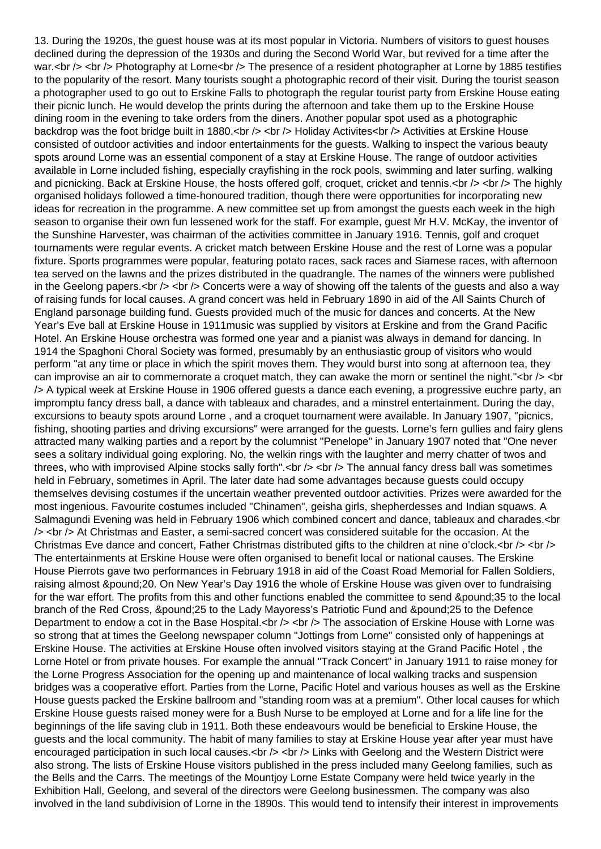13. During the 1920s, the guest house was at its most popular in Victoria. Numbers of visitors to guest houses declined during the depression of the 1930s and during the Second World War, but revived for a time after the war.<br /> <br /> Photography at Lorne<br />>The presence of a resident photographer at Lorne by 1885 testifies to the popularity of the resort. Many tourists sought a photographic record of their visit. During the tourist season a photographer used to go out to Erskine Falls to photograph the regular tourist party from Erskine House eating their picnic lunch. He would develop the prints during the afternoon and take them up to the Erskine House dining room in the evening to take orders from the diners. Another popular spot used as a photographic backdrop was the foot bridge built in 1880.<br />> <br />> Holiday Activities<br />> Activities at Erskine House consisted of outdoor activities and indoor entertainments for the guests. Walking to inspect the various beauty spots around Lorne was an essential component of a stay at Erskine House. The range of outdoor activities available in Lorne included fishing, especially crayfishing in the rock pools, swimming and later surfing, walking and picnicking. Back at Erskine House, the hosts offered golf, croquet, cricket and tennis.  $\langle$  br  $\rangle$   $\leq$  or  $\prime$  The highly organised holidays followed a time-honoured tradition, though there were opportunities for incorporating new ideas for recreation in the programme. A new committee set up from amongst the guests each week in the high season to organise their own fun lessened work for the staff. For example, guest Mr H.V. McKay, the inventor of the Sunshine Harvester, was chairman of the activities committee in January 1916. Tennis, golf and croquet tournaments were regular events. A cricket match between Erskine House and the rest of Lorne was a popular fixture. Sports programmes were popular, featuring potato races, sack races and Siamese races, with afternoon tea served on the lawns and the prizes distributed in the quadrangle. The names of the winners were published in the Geelong papers. $\langle$ br  $\rangle$   $\langle$   $\rangle$  Concerts were a way of showing off the talents of the quests and also a way of raising funds for local causes. A grand concert was held in February 1890 in aid of the All Saints Church of England parsonage building fund. Guests provided much of the music for dances and concerts. At the New Year's Eve ball at Erskine House in 1911music was supplied by visitors at Erskine and from the Grand Pacific Hotel. An Erskine House orchestra was formed one year and a pianist was always in demand for dancing. In 1914 the Spaghoni Choral Society was formed, presumably by an enthusiastic group of visitors who would perform "at any time or place in which the spirit moves them. They would burst into song at afternoon tea, they can improvise an air to commemorate a croquet match, they can awake the morn or sentinel the night."<br />>>> <br />
downthstrangle and intervalsed and intervalsed and intervalsed and intervalsed and intervalsed and interv /> A typical week at Erskine House in 1906 offered guests a dance each evening, a progressive euchre party, an impromptu fancy dress ball, a dance with tableaux and charades, and a minstrel entertainment. During the day, excursions to beauty spots around Lorne , and a croquet tournament were available. In January 1907, "picnics, fishing, shooting parties and driving excursions" were arranged for the guests. Lorne's fern gullies and fairy glens attracted many walking parties and a report by the columnist "Penelope" in January 1907 noted that "One never sees a solitary individual going exploring. No, the welkin rings with the laughter and merry chatter of twos and threes, who with improvised Alpine stocks sally forth".<br />> <br />> <br />The annual fancy dress ball was sometimes held in February, sometimes in April. The later date had some advantages because guests could occupy themselves devising costumes if the uncertain weather prevented outdoor activities. Prizes were awarded for the most ingenious. Favourite costumes included "Chinamen", geisha girls, shepherdesses and Indian squaws. A Salmagundi Evening was held in February 1906 which combined concert and dance, tableaux and charades.<br >>
< /> <br /> At Christmas and Easter, a semi-sacred concert was considered suitable for the occasion. At the Christmas Eve dance and concert, Father Christmas distributed gifts to the children at nine o'clock.<br />> <br /> The entertainments at Erskine House were often organised to benefit local or national causes. The Erskine House Pierrots gave two performances in February 1918 in aid of the Coast Road Memorial for Fallen Soldiers, raising almost £ 20. On New Year's Day 1916 the whole of Erskine House was given over to fundraising for the war effort. The profits from this and other functions enabled the committee to send £35 to the local branch of the Red Cross, £25 to the Lady Mayoress's Patriotic Fund and £25 to the Defence Department to endow a cot in the Base Hospital.<br />> <br />> The association of Erskine House with Lorne was so strong that at times the Geelong newspaper column "Jottings from Lorne" consisted only of happenings at Erskine House. The activities at Erskine House often involved visitors staying at the Grand Pacific Hotel , the Lorne Hotel or from private houses. For example the annual "Track Concert" in January 1911 to raise money for the Lorne Progress Association for the opening up and maintenance of local walking tracks and suspension bridges was a cooperative effort. Parties from the Lorne, Pacific Hotel and various houses as well as the Erskine House guests packed the Erskine ballroom and "standing room was at a premium". Other local causes for which Erskine House guests raised money were for a Bush Nurse to be employed at Lorne and for a life line for the beginnings of the life saving club in 1911. Both these endeavours would be beneficial to Erskine House, the guests and the local community. The habit of many families to stay at Erskine House year after year must have encouraged participation in such local causes.<br />> <br /> Links with Geelong and the Western District were also strong. The lists of Erskine House visitors published in the press included many Geelong families, such as the Bells and the Carrs. The meetings of the Mountjoy Lorne Estate Company were held twice yearly in the Exhibition Hall, Geelong, and several of the directors were Geelong businessmen. The company was also involved in the land subdivision of Lorne in the 1890s. This would tend to intensify their interest in improvements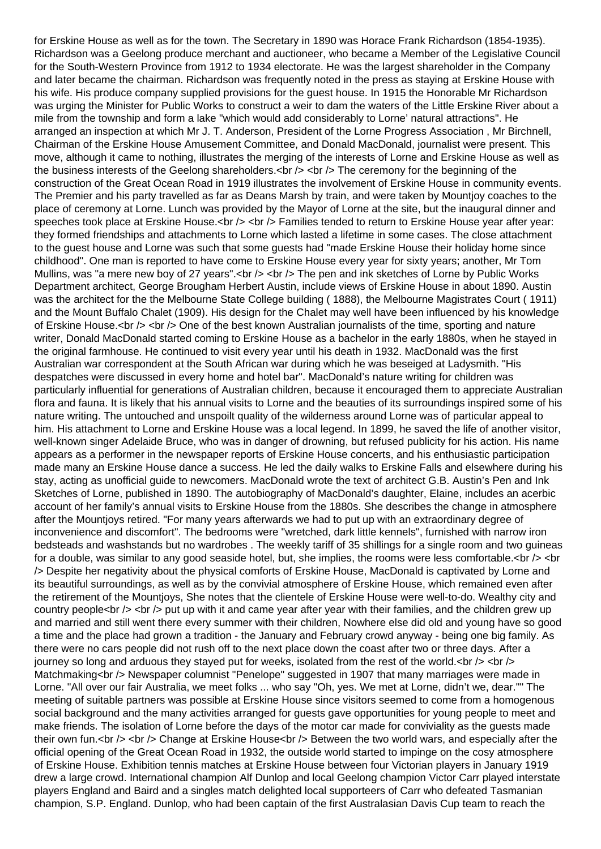for Erskine House as well as for the town. The Secretary in 1890 was Horace Frank Richardson (1854-1935). Richardson was a Geelong produce merchant and auctioneer, who became a Member of the Legislative Council for the South-Western Province from 1912 to 1934 electorate. He was the largest shareholder in the Company and later became the chairman. Richardson was frequently noted in the press as staying at Erskine House with his wife. His produce company supplied provisions for the guest house. In 1915 the Honorable Mr Richardson was urging the Minister for Public Works to construct a weir to dam the waters of the Little Erskine River about a mile from the township and form a lake "which would add considerably to Lorne' natural attractions". He arranged an inspection at which Mr J. T. Anderson, President of the Lorne Progress Association , Mr Birchnell, Chairman of the Erskine House Amusement Committee, and Donald MacDonald, journalist were present. This move, although it came to nothing, illustrates the merging of the interests of Lorne and Erskine House as well as the business interests of the Geelong shareholders.<br />> <br />> <br />The ceremony for the beginning of the construction of the Great Ocean Road in 1919 illustrates the involvement of Erskine House in community events. The Premier and his party travelled as far as Deans Marsh by train, and were taken by Mountjoy coaches to the place of ceremony at Lorne. Lunch was provided by the Mayor of Lorne at the site, but the inaugural dinner and speeches took place at Erskine House.<br />> <br /> Families tended to return to Erskine House year after year: they formed friendships and attachments to Lorne which lasted a lifetime in some cases. The close attachment to the guest house and Lorne was such that some guests had "made Erskine House their holiday home since childhood". One man is reported to have come to Erskine House every year for sixty years; another, Mr Tom Mullins, was "a mere new boy of 27 years".<br />> <br />> < The pen and ink sketches of Lorne by Public Works Department architect, George Brougham Herbert Austin, include views of Erskine House in about 1890. Austin was the architect for the the Melbourne State College building ( 1888), the Melbourne Magistrates Court ( 1911) and the Mount Buffalo Chalet (1909). His design for the Chalet may well have been influenced by his knowledge of Erskine House.<br />> <br />> One of the best known Australian journalists of the time, sporting and nature writer, Donald MacDonald started coming to Erskine House as a bachelor in the early 1880s, when he stayed in the original farmhouse. He continued to visit every year until his death in 1932. MacDonald was the first Australian war correspondent at the South African war during which he was beseiged at Ladysmith. "His despatches were discussed in every home and hotel bar". MacDonald's nature writing for children was particularly influential for generations of Australian children, because it encouraged them to appreciate Australian flora and fauna. It is likely that his annual visits to Lorne and the beauties of its surroundings inspired some of his nature writing. The untouched and unspoilt quality of the wilderness around Lorne was of particular appeal to him. His attachment to Lorne and Erskine House was a local legend. In 1899, he saved the life of another visitor, well-known singer Adelaide Bruce, who was in danger of drowning, but refused publicity for his action. His name appears as a performer in the newspaper reports of Erskine House concerts, and his enthusiastic participation made many an Erskine House dance a success. He led the daily walks to Erskine Falls and elsewhere during his stay, acting as unofficial guide to newcomers. MacDonald wrote the text of architect G.B. Austin's Pen and Ink Sketches of Lorne, published in 1890. The autobiography of MacDonald's daughter, Elaine, includes an acerbic account of her family's annual visits to Erskine House from the 1880s. She describes the change in atmosphere after the Mountjoys retired. "For many years afterwards we had to put up with an extraordinary degree of inconvenience and discomfort". The bedrooms were "wretched, dark little kennels", furnished with narrow iron bedsteads and washstands but no wardrobes . The weekly tariff of 35 shillings for a single room and two guineas for a double, was similar to any good seaside hotel, but, she implies, the rooms were less comfortable.<br  $/$  > <br /> Despite her negativity about the physical comforts of Erskine House, MacDonald is captivated by Lorne and its beautiful surroundings, as well as by the convivial atmosphere of Erskine House, which remained even after the retirement of the Mountjoys, She notes that the clientele of Erskine House were well-to-do. Wealthy city and country people<br /> <br /> put up with it and came year after year with their families, and the children grew up and married and still went there every summer with their children, Nowhere else did old and young have so good a time and the place had grown a tradition - the January and February crowd anyway - being one big family. As there were no cars people did not rush off to the next place down the coast after two or three days. After a journey so long and arduous they stayed put for weeks, isolated from the rest of the world. $\langle$ br  $/$ > $\langle$ br  $/$ > $\rangle$ Matchmaking<br />>>>> Newspaper columnist "Penelope" suggested in 1907 that many marriages were made in Lorne. "All over our fair Australia, we meet folks ... who say "Oh, yes. We met at Lorne, didn't we, dear."" The meeting of suitable partners was possible at Erskine House since visitors seemed to come from a homogenous social background and the many activities arranged for guests gave opportunities for young people to meet and make friends. The isolation of Lorne before the days of the motor car made for conviviality as the guests made their own fun.<br /> <br /> Change at Erskine House<br />> Between the two world wars, and especially after the official opening of the Great Ocean Road in 1932, the outside world started to impinge on the cosy atmosphere of Erskine House. Exhibition tennis matches at Erskine House between four Victorian players in January 1919 drew a large crowd. International champion Alf Dunlop and local Geelong champion Victor Carr played interstate players England and Baird and a singles match delighted local supporteers of Carr who defeated Tasmanian champion, S.P. England. Dunlop, who had been captain of the first Australasian Davis Cup team to reach the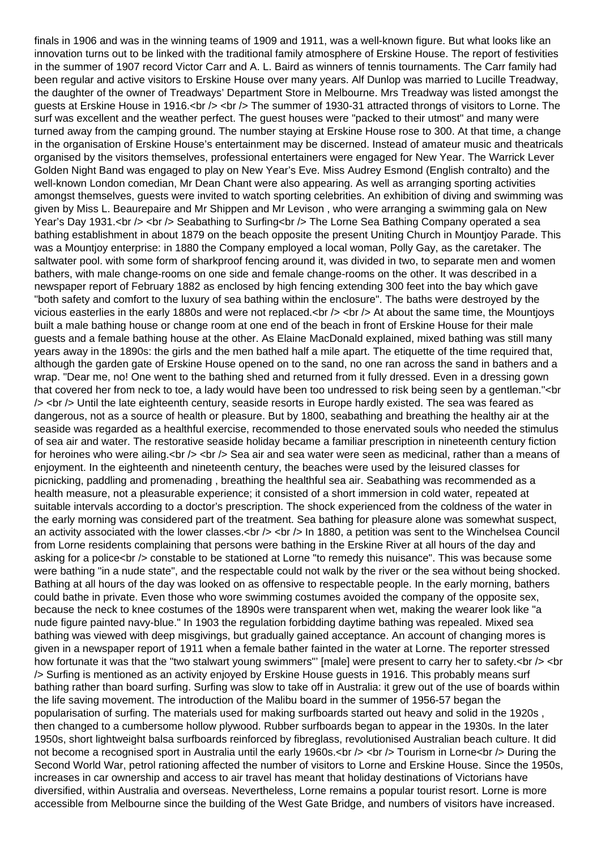finals in 1906 and was in the winning teams of 1909 and 1911, was a well-known figure. But what looks like an innovation turns out to be linked with the traditional family atmosphere of Erskine House. The report of festivities in the summer of 1907 record Victor Carr and A. L. Baird as winners of tennis tournaments. The Carr family had been regular and active visitors to Erskine House over many years. Alf Dunlop was married to Lucille Treadway, the daughter of the owner of Treadways' Department Store in Melbourne. Mrs Treadway was listed amongst the guests at Erskine House in 1916.<br /> <br />> The summer of 1930-31 attracted throngs of visitors to Lorne. The surf was excellent and the weather perfect. The guest houses were "packed to their utmost" and many were turned away from the camping ground. The number staying at Erskine House rose to 300. At that time, a change in the organisation of Erskine House's entertainment may be discerned. Instead of amateur music and theatricals organised by the visitors themselves, professional entertainers were engaged for New Year. The Warrick Lever Golden Night Band was engaged to play on New Year's Eve. Miss Audrey Esmond (English contralto) and the well-known London comedian, Mr Dean Chant were also appearing. As well as arranging sporting activities amongst themselves, guests were invited to watch sporting celebrities. An exhibition of diving and swimming was given by Miss L. Beaurepaire and Mr Shippen and Mr Levison , who were arranging a swimming gala on New Year's Day 1931.<br />> <br />>> Seabathing to Surfing<br />
>> The Lorne Sea Bathing Company operated a sea bathing establishment in about 1879 on the beach opposite the present Uniting Church in Mountjoy Parade. This was a Mountjoy enterprise: in 1880 the Company employed a local woman, Polly Gay, as the caretaker. The saltwater pool. with some form of sharkproof fencing around it, was divided in two, to separate men and women bathers, with male change-rooms on one side and female change-rooms on the other. It was described in a newspaper report of February 1882 as enclosed by high fencing extending 300 feet into the bay which gave "both safety and comfort to the luxury of sea bathing within the enclosure". The baths were destroyed by the vicious easterlies in the early 1880s and were not replaced.<br />> <br />> At about the same time, the Mountjoys built a male bathing house or change room at one end of the beach in front of Erskine House for their male guests and a female bathing house at the other. As Elaine MacDonald explained, mixed bathing was still many years away in the 1890s: the girls and the men bathed half a mile apart. The etiquette of the time required that, although the garden gate of Erskine House opened on to the sand, no one ran across the sand in bathers and a wrap. "Dear me, no! One went to the bathing shed and returned from it fully dressed. Even in a dressing gown that covered her from neck to toe, a lady would have been too undressed to risk being seen by a gentleman."<br >>
draman."< /> <br /> Until the late eighteenth century, seaside resorts in Europe hardly existed. The sea was feared as dangerous, not as a source of health or pleasure. But by 1800, seabathing and breathing the healthy air at the seaside was regarded as a healthful exercise, recommended to those enervated souls who needed the stimulus of sea air and water. The restorative seaside holiday became a familiar prescription in nineteenth century fiction for heroines who were ailing.<br />  $\lt$  />  $\lt$  /> Sea air and sea water were seen as medicinal, rather than a means of enjoyment. In the eighteenth and nineteenth century, the beaches were used by the leisured classes for picnicking, paddling and promenading , breathing the healthful sea air. Seabathing was recommended as a health measure, not a pleasurable experience; it consisted of a short immersion in cold water, repeated at suitable intervals according to a doctor's prescription. The shock experienced from the coldness of the water in the early morning was considered part of the treatment. Sea bathing for pleasure alone was somewhat suspect, an activity associated with the lower classes.<br  $/$ > <br  $/$  In 1880, a petition was sent to the Winchelsea Council from Lorne residents complaining that persons were bathing in the Erskine River at all hours of the day and asking for a police<br />> constable to be stationed at Lorne "to remedy this nuisance". This was because some were bathing "in a nude state", and the respectable could not walk by the river or the sea without being shocked. Bathing at all hours of the day was looked on as offensive to respectable people. In the early morning, bathers could bathe in private. Even those who wore swimming costumes avoided the company of the opposite sex, because the neck to knee costumes of the 1890s were transparent when wet, making the wearer look like "a nude figure painted navy-blue." In 1903 the regulation forbidding daytime bathing was repealed. Mixed sea bathing was viewed with deep misgivings, but gradually gained acceptance. An account of changing mores is given in a newspaper report of 1911 when a female bather fainted in the water at Lorne. The reporter stressed how fortunate it was that the "two stalwart young swimmers"' [male] were present to carry her to safety.<br />>> <br /> Surfing is mentioned as an activity enjoyed by Erskine House guests in 1916. This probably means surf bathing rather than board surfing. Surfing was slow to take off in Australia: it grew out of the use of boards within the life saving movement. The introduction of the Malibu board in the summer of 1956-57 began the popularisation of surfing. The materials used for making surfboards started out heavy and solid in the 1920s , then changed to a cumbersome hollow plywood. Rubber surfboards began to appear in the 1930s. In the later 1950s, short lightweight balsa surfboards reinforced by fibreglass, revolutionised Australian beach culture. It did not become a recognised sport in Australia until the early 1960s.<br />> <br />> <br />> Tourism in Lorne<br />>> During the Second World War, petrol rationing affected the number of visitors to Lorne and Erskine House. Since the 1950s, increases in car ownership and access to air travel has meant that holiday destinations of Victorians have diversified, within Australia and overseas. Nevertheless, Lorne remains a popular tourist resort. Lorne is more accessible from Melbourne since the building of the West Gate Bridge, and numbers of visitors have increased.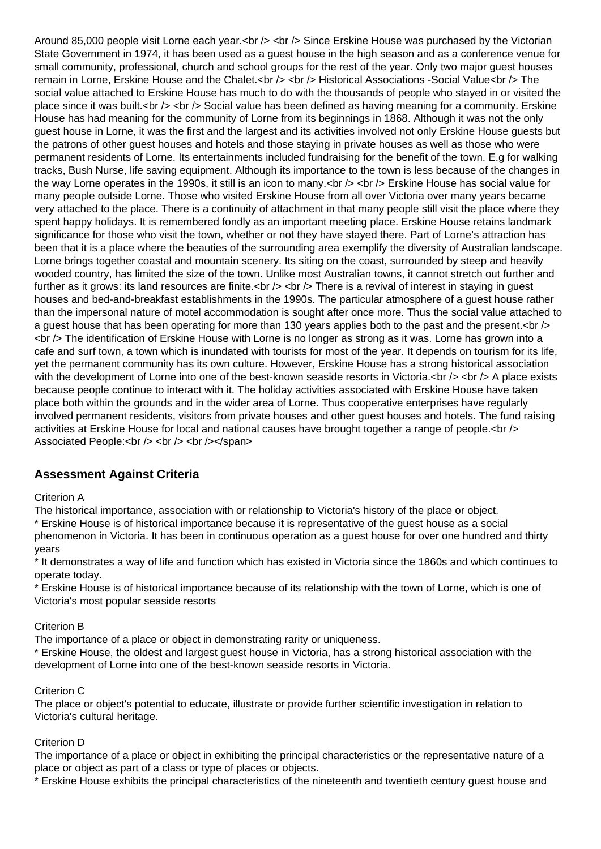Around 85,000 people visit Lorne each year.<br />> <br />> < Since Erskine House was purchased by the Victorian State Government in 1974, it has been used as a guest house in the high season and as a conference venue for small community, professional, church and school groups for the rest of the year. Only two major guest houses remain in Lorne, Erskine House and the Chalet.<br />> <br />> <br />
Historical Associations -Social Value<br />
lettions - The social value attached to Erskine House has much to do with the thousands of people who stayed in or visited the place since it was built.<br />> <br />> Social value has been defined as having meaning for a community. Erskine House has had meaning for the community of Lorne from its beginnings in 1868. Although it was not the only guest house in Lorne, it was the first and the largest and its activities involved not only Erskine House guests but the patrons of other guest houses and hotels and those staying in private houses as well as those who were permanent residents of Lorne. Its entertainments included fundraising for the benefit of the town. E.g for walking tracks, Bush Nurse, life saving equipment. Although its importance to the town is less because of the changes in the way Lorne operates in the 1990s, it still is an icon to many.  $\langle$  br  $\rangle$   $\langle$  = Erskine House has social value for many people outside Lorne. Those who visited Erskine House from all over Victoria over many years became very attached to the place. There is a continuity of attachment in that many people still visit the place where they spent happy holidays. It is remembered fondly as an important meeting place. Erskine House retains landmark significance for those who visit the town, whether or not they have stayed there. Part of Lorne's attraction has been that it is a place where the beauties of the surrounding area exemplify the diversity of Australian landscape. Lorne brings together coastal and mountain scenery. Its siting on the coast, surrounded by steep and heavily wooded country, has limited the size of the town. Unlike most Australian towns, it cannot stretch out further and further as it grows: its land resources are finite.<br />> <br /> There is a revival of interest in staying in guest houses and bed-and-breakfast establishments in the 1990s. The particular atmosphere of a guest house rather than the impersonal nature of motel accommodation is sought after once more. Thus the social value attached to a guest house that has been operating for more than 130 years applies both to the past and the present.<br />> <br /> The identification of Erskine House with Lorne is no longer as strong as it was. Lorne has grown into a cafe and surf town, a town which is inundated with tourists for most of the year. It depends on tourism for its life, yet the permanent community has its own culture. However, Erskine House has a strong historical association with the development of Lorne into one of the best-known seaside resorts in Victoria. $\text{ch }$  />  $\text{ch }$  /> A place exists because people continue to interact with it. The holiday activities associated with Erskine House have taken place both within the grounds and in the wider area of Lorne. Thus cooperative enterprises have regularly involved permanent residents, visitors from private houses and other guest houses and hotels. The fund raising activities at Erskine House for local and national causes have brought together a range of people.< br /> Associated People:<br />> /> <br />> <br />>/>></span>

# **Assessment Against Criteria**

Criterion A

The historical importance, association with or relationship to Victoria's history of the place or object.

\* Erskine House is of historical importance because it is representative of the guest house as a social phenomenon in Victoria. It has been in continuous operation as a guest house for over one hundred and thirty years

\* It demonstrates a way of life and function which has existed in Victoria since the 1860s and which continues to operate today.

\* Erskine House is of historical importance because of its relationship with the town of Lorne, which is one of Victoria's most popular seaside resorts

## Criterion B

The importance of a place or object in demonstrating rarity or uniqueness.

\* Erskine House, the oldest and largest guest house in Victoria, has a strong historical association with the development of Lorne into one of the best-known seaside resorts in Victoria.

## Criterion C

The place or object's potential to educate, illustrate or provide further scientific investigation in relation to Victoria's cultural heritage.

## Criterion D

The importance of a place or object in exhibiting the principal characteristics or the representative nature of a place or object as part of a class or type of places or objects.

\* Erskine House exhibits the principal characteristics of the nineteenth and twentieth century guest house and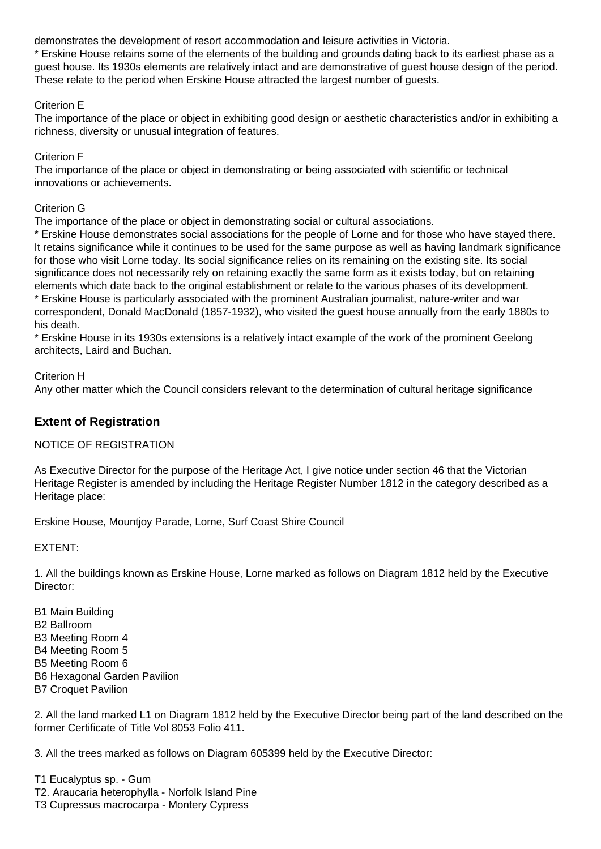demonstrates the development of resort accommodation and leisure activities in Victoria.

\* Erskine House retains some of the elements of the building and grounds dating back to its earliest phase as a guest house. Its 1930s elements are relatively intact and are demonstrative of guest house design of the period. These relate to the period when Erskine House attracted the largest number of guests.

## Criterion E

The importance of the place or object in exhibiting good design or aesthetic characteristics and/or in exhibiting a richness, diversity or unusual integration of features.

## Criterion F

The importance of the place or object in demonstrating or being associated with scientific or technical innovations or achievements.

## Criterion G

The importance of the place or object in demonstrating social or cultural associations.

\* Erskine House demonstrates social associations for the people of Lorne and for those who have stayed there. It retains significance while it continues to be used for the same purpose as well as having landmark significance for those who visit Lorne today. Its social significance relies on its remaining on the existing site. Its social significance does not necessarily rely on retaining exactly the same form as it exists today, but on retaining elements which date back to the original establishment or relate to the various phases of its development. \* Erskine House is particularly associated with the prominent Australian journalist, nature-writer and war correspondent, Donald MacDonald (1857-1932), who visited the guest house annually from the early 1880s to his death.

\* Erskine House in its 1930s extensions is a relatively intact example of the work of the prominent Geelong architects, Laird and Buchan.

## Criterion H

Any other matter which the Council considers relevant to the determination of cultural heritage significance

# **Extent of Registration**

## NOTICE OF REGISTRATION

As Executive Director for the purpose of the Heritage Act, I give notice under section 46 that the Victorian Heritage Register is amended by including the Heritage Register Number 1812 in the category described as a Heritage place:

Erskine House, Mountjoy Parade, Lorne, Surf Coast Shire Council

## EXTENT:

1. All the buildings known as Erskine House, Lorne marked as follows on Diagram 1812 held by the Executive Director:

B1 Main Building B2 Ballroom B3 Meeting Room 4 B4 Meeting Room 5 B5 Meeting Room 6 B6 Hexagonal Garden Pavilion B7 Croquet Pavilion

2. All the land marked L1 on Diagram 1812 held by the Executive Director being part of the land described on the former Certificate of Title Vol 8053 Folio 411.

3. All the trees marked as follows on Diagram 605399 held by the Executive Director:

T1 Eucalyptus sp. - Gum T2. Araucaria heterophylla - Norfolk Island Pine T3 Cupressus macrocarpa - Montery Cypress